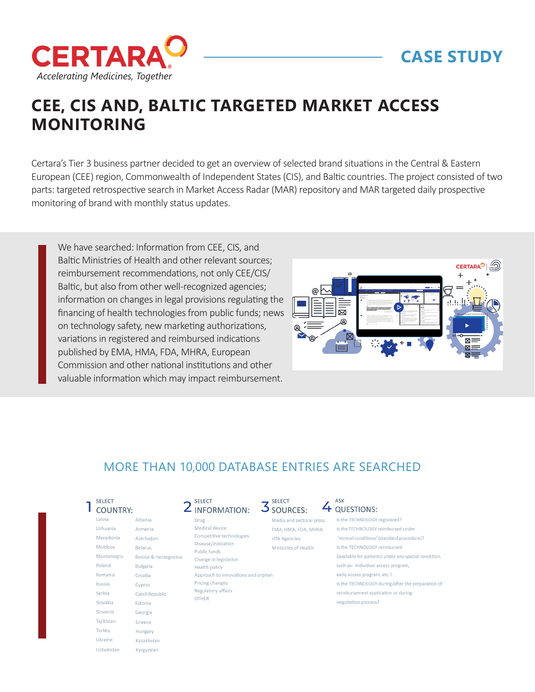

## **CASE STUDY**

# **CEE, CIS AND, BALTIC TARGETED MARKET ACCESS MONITORING**

Certara's Tier 3 business partner decided to get an overview of selected brand situations in the Central & Eastern European (CEE) region, Commonwealth of Independent States (CIS), and Baltic countries. The project consisted of two parts: targeted retrospective search in Market Access Radar (MAR) repository and MAR targeted daily prospective monitoring of brand with monthly status updates.

We have searched: Information from CEE, CIS, and Baltic Ministries of Health and other relevant sources; reimbursement recommendations, not only CEE/CIS/ Baltic, but also from other well-recognized agencies; information on changes in legal provisions regulating the financing of health technologies from public funds; news on technology safety, new marketing authorizations, variations in registered and reimbursed indications published by EMA, HMA, FDA, MHRA, European Commission and other national institutions and other valuable information which may impact reimbursement.



### MORE THAN 10,000 DATABASE ENTRIES ARE SEARCHED

#### SELECT **1** COUNTRY:

| Latvia     | Albania              |
|------------|----------------------|
| Lithuania  | Armenia              |
| Macedonia  | Azerbaijan           |
| Moldova    | <b>Belarus</b>       |
| Montenegro | Bośnia & Herzegovina |
| Poland     | <b>Bulgaria</b>      |
| Romania    | Croatia              |
| Russia     | Cyprus               |
| Serbia     | Czech Republic       |
| Slovakia   | Estonia              |
| Slovenia   | Georgia              |
| Tajikistan | Greece               |
| Turkey     | Hungary              |
| Ukraine    | Kazakhstan           |
| Uzbekistan | Kyrgyzstan           |

| $\mathsf{2}$ select<br>INFORMATION: |
|-------------------------------------|

Drug

#### Medical device Competitive technologies Disease/indication Public funds Change in legislation **Health policy** Approach to innovations and orphan Pricing changes Regulatory affairs **OTHER**

#### SELECT **3** SOURCES:

Media and sectoral press Is the TECHNOLOGY registered? EMA, HMA, FDA, MHRA **HTA Agencies** Ministries of Health

#### ASK 4 QUESTIONS:

'normal conditions' (standard procedure)? Is the TECHNOLOGY reimbursed

#### (available for patients) under any special condition.

Is the TECHNOLOGY reimbursed under

such as: individual access program.

- early access program, etc.? Is the TECHNOLOGY during/after the preparation of
- reimbursement application or during
- negotiation process?
-